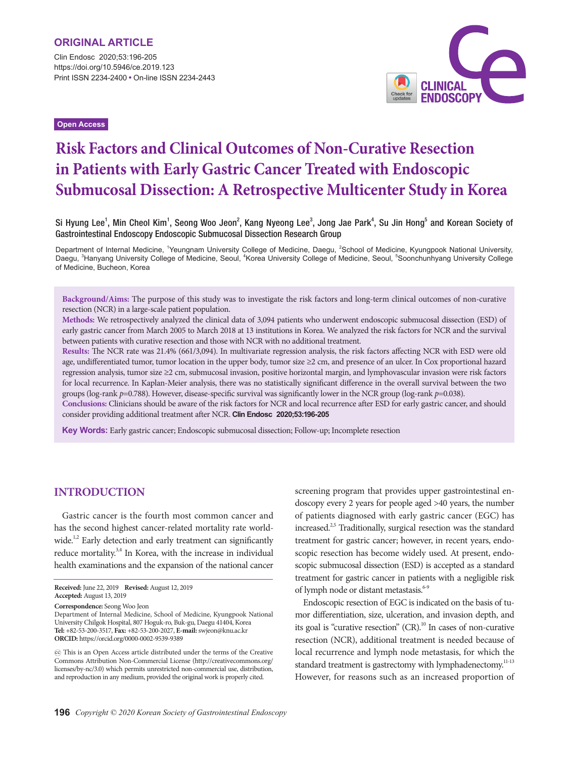Clin Endosc 2020;53:196-205 https://doi.org/10.5946/ce.2019.123 Print ISSN 2234-2400 • On-line ISSN 2234-2443



**Open Access**

# **Risk Factors and Clinical Outcomes of Non-Curative Resection in Patients with Early Gastric Cancer Treated with Endoscopic Submucosal Dissection: A Retrospective Multicenter Study in Korea**

Si Hyung Lee<sup>1</sup>, Min Cheol Kim<sup>1</sup>, Seong Woo Jeon<sup>2</sup>, Kang Nyeong Lee<sup>3</sup>, Jong Jae Park<sup>4</sup>, Su Jin Hong<sup>5</sup> and Korean Society of Gastrointestinal Endoscopy Endoscopic Submucosal Dissection Research Group

Department of Internal Medicine, <sup>1</sup>Yeungnam University College of Medicine, Daegu, <sup>2</sup>School of Medicine, Kyungpook National University, Daegu, <sup>3</sup>Hanyang University College of Medicine, Seoul, <sup>4</sup>Korea University College of Medicine, Seoul, <sup>5</sup>Soonchunhyang University College of Medicine, Bucheon, Korea

**Background/Aims:** The purpose of this study was to investigate the risk factors and long-term clinical outcomes of non-curative resection (NCR) in a large-scale patient population.

**Methods:** We retrospectively analyzed the clinical data of 3,094 patients who underwent endoscopic submucosal dissection (ESD) of early gastric cancer from March 2005 to March 2018 at 13 institutions in Korea. We analyzed the risk factors for NCR and the survival between patients with curative resection and those with NCR with no additional treatment.

**Results:** The NCR rate was 21.4% (661/3,094). In multivariate regression analysis, the risk factors affecting NCR with ESD were old age, undifferentiated tumor, tumor location in the upper body, tumor size ≥2 cm, and presence of an ulcer. In Cox proportional hazard regression analysis, tumor size ≥2 cm, submucosal invasion, positive horizontal margin, and lymphovascular invasion were risk factors for local recurrence. In Kaplan-Meier analysis, there was no statistically significant difference in the overall survival between the two groups (log-rank *p*=0.788). However, disease-specific survival was significantly lower in the NCR group (log-rank *p*=0.038).

**Conclusions:** Clinicians should be aware of the risk factors for NCR and local recurrence after ESD for early gastric cancer, and should consider providing additional treatment after NCR. **Clin Endosc 2020;53:196-205**

**Key Words:** Early gastric cancer; Endoscopic submucosal dissection; Follow-up; Incomplete resection

# **Introduction**

Gastric cancer is the fourth most common cancer and has the second highest cancer-related mortality rate worldwide.<sup>1,2</sup> Early detection and early treatment can significantly reduce mortality.<sup>3,4</sup> In Korea, with the increase in individual health examinations and the expansion of the national cancer

**Correspondence:** Seong Woo Jeon

Department of Internal Medicine, School of Medicine, Kyungpook National University Chilgok Hospital, 807 Hoguk-ro, Buk-gu, Daegu 41404, Korea **Tel:** +82-53-200-3517, **Fax:** +82-53-200-2027, **E-mail:** swjeon@knu.ac.kr **ORCID:** https://orcid.org/0000-0002-9539-9389

screening program that provides upper gastrointestinal endoscopy every 2 years for people aged >40 years, the number of patients diagnosed with early gastric cancer (EGC) has increased.<sup>2,5</sup> Traditionally, surgical resection was the standard treatment for gastric cancer; however, in recent years, endoscopic resection has become widely used. At present, endoscopic submucosal dissection (ESD) is accepted as a standard treatment for gastric cancer in patients with a negligible risk of lymph node or distant metastasis.<sup>6-9</sup>

Endoscopic resection of EGC is indicated on the basis of tumor differentiation, size, ulceration, and invasion depth, and its goal is "curative resection"  $(CR)$ .<sup>10</sup> In cases of non-curative resection (NCR), additional treatment is needed because of local recurrence and lymph node metastasis, for which the standard treatment is gastrectomy with lymphadenectomy.<sup>11-13</sup> However, for reasons such as an increased proportion of

**Received:** June 22, 2019 **Revised:** August 12, 2019 **Accepted:** August 13, 2019

cc This is an Open Access article distributed under the terms of the Creative Commons Attribution Non-Commercial License (http://creativecommons.org/ licenses/by-nc/3.0) which permits unrestricted non-commercial use, distribution, and reproduction in any medium, provided the original work is properly cited.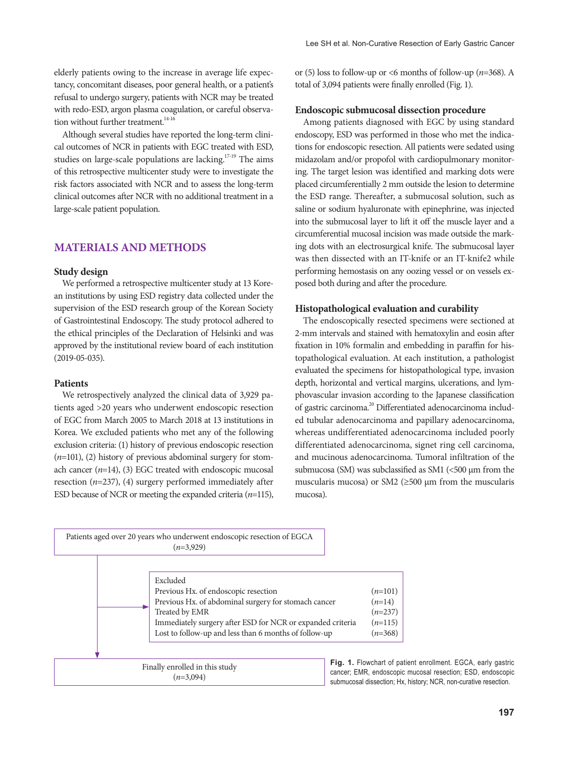elderly patients owing to the increase in average life expectancy, concomitant diseases, poor general health, or a patient's refusal to undergo surgery, patients with NCR may be treated with redo-ESD, argon plasma coagulation, or careful observation without further treatment. $14-16$ 

Although several studies have reported the long-term clinical outcomes of NCR in patients with EGC treated with ESD, studies on large-scale populations are lacking.<sup>17-19</sup> The aims of this retrospective multicenter study were to investigate the risk factors associated with NCR and to assess the long-term clinical outcomes after NCR with no additional treatment in a large-scale patient population.

# **Materials and Methods**

#### **Study design**

We performed a retrospective multicenter study at 13 Korean institutions by using ESD registry data collected under the supervision of the ESD research group of the Korean Society of Gastrointestinal Endoscopy. The study protocol adhered to the ethical principles of the Declaration of Helsinki and was approved by the institutional review board of each institution (2019-05-035).

#### **Patients**

We retrospectively analyzed the clinical data of 3,929 patients aged >20 years who underwent endoscopic resection of EGC from March 2005 to March 2018 at 13 institutions in Korea. We excluded patients who met any of the following exclusion criteria: (1) history of previous endoscopic resection (*n*=101), (2) history of previous abdominal surgery for stomach cancer (*n*=14), (3) EGC treated with endoscopic mucosal resection (*n*=237), (4) surgery performed immediately after ESD because of NCR or meeting the expanded criteria (*n*=115), or (5) loss to follow-up or <6 months of follow-up (*n*=368). A total of 3,094 patients were finally enrolled (Fig. 1).

#### **Endoscopic submucosal dissection procedure**

Among patients diagnosed with EGC by using standard endoscopy, ESD was performed in those who met the indications for endoscopic resection. All patients were sedated using midazolam and/or propofol with cardiopulmonary monitoring. The target lesion was identified and marking dots were placed circumferentially 2 mm outside the lesion to determine the ESD range. Thereafter, a submucosal solution, such as saline or sodium hyaluronate with epinephrine, was injected into the submucosal layer to lift it off the muscle layer and a circumferential mucosal incision was made outside the marking dots with an electrosurgical knife. The submucosal layer was then dissected with an IT-knife or an IT-knife2 while performing hemostasis on any oozing vessel or on vessels exposed both during and after the procedure.

#### **Histopathological evaluation and curability**

The endoscopically resected specimens were sectioned at 2-mm intervals and stained with hematoxylin and eosin after fixation in 10% formalin and embedding in paraffin for histopathological evaluation. At each institution, a pathologist evaluated the specimens for histopathological type, invasion depth, horizontal and vertical margins, ulcerations, and lymphovascular invasion according to the Japanese classification of gastric carcinoma.<sup>20</sup> Differentiated adenocarcinoma included tubular adenocarcinoma and papillary adenocarcinoma, whereas undifferentiated adenocarcinoma included poorly differentiated adenocarcinoma, signet ring cell carcinoma, and mucinous adenocarcinoma. Tumoral infiltration of the submucosa (SM) was subclassified as SM1 (<500 μm from the muscularis mucosa) or SM2 ( $\geq$ 500  $\mu$ m from the muscularis mucosa).



**Fig. 1.** Flowchart of patient enrollment. EGCA, early gastric cancer; EMR, endoscopic mucosal resection; ESD, endoscopic submucosal dissection; Hx, history; NCR, non-curative resection.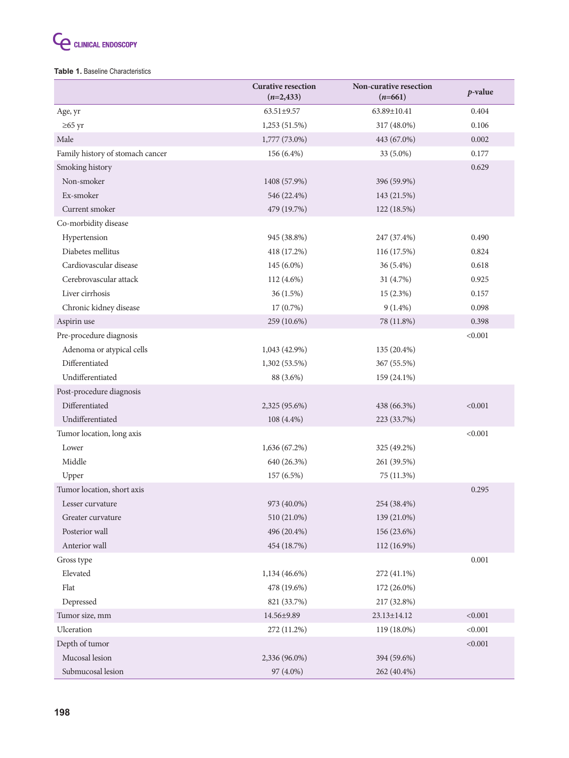

#### **Table 1.** Baseline Characteristics

|                                  | <b>Curative resection</b><br>$(n=2,433)$ | Non-curative resection<br>$(n=661)$ | $p$ -value |
|----------------------------------|------------------------------------------|-------------------------------------|------------|
| Age, yr                          | 63.51±9.57                               | 63.89±10.41                         |            |
| $\geq 65$ yr                     | 1,253 (51.5%)                            | 317 (48.0%)                         | 0.106      |
| Male                             | 443 (67.0%)<br>1,777 (73.0%)             |                                     | 0.002      |
| Family history of stomach cancer | 156 (6.4%)                               | 33 (5.0%)                           | 0.177      |
| Smoking history                  |                                          |                                     | 0.629      |
| Non-smoker                       | 1408 (57.9%)                             | 396 (59.9%)                         |            |
| Ex-smoker                        | 546 (22.4%)                              | 143 (21.5%)                         |            |
| Current smoker                   | 479 (19.7%)                              | 122 (18.5%)                         |            |
| Co-morbidity disease             |                                          |                                     |            |
| Hypertension                     | 945 (38.8%)                              | 247 (37.4%)                         | 0.490      |
| Diabetes mellitus                | 418 (17.2%)                              | 116 (17.5%)                         | 0.824      |
| Cardiovascular disease           | 145 (6.0%)                               | 36 (5.4%)                           | 0.618      |
| Cerebrovascular attack           | 112 (4.6%)                               | 31 (4.7%)                           | 0.925      |
| Liver cirrhosis                  | 36 (1.5%)                                | 15(2.3%)                            | 0.157      |
| Chronic kidney disease           | 17 (0.7%)                                | $9(1.4\%)$                          | 0.098      |
| Aspirin use                      | 259 (10.6%)                              | 78 (11.8%)                          | 0.398      |
| Pre-procedure diagnosis          |                                          |                                     | < 0.001    |
| Adenoma or atypical cells        | 1,043 (42.9%)                            | 135 (20.4%)                         |            |
| Differentiated                   | 1,302 (53.5%)                            | 367 (55.5%)                         |            |
| Undifferentiated                 | 88 (3.6%)                                | 159 (24.1%)                         |            |
| Post-procedure diagnosis         |                                          |                                     |            |
| Differentiated                   | 2,325 (95.6%)                            | 438 (66.3%)                         | < 0.001    |
| Undifferentiated                 | $108(4.4\%)$                             | 223 (33.7%)                         |            |
| Tumor location, long axis        |                                          |                                     | < 0.001    |
| Lower                            | 1,636 (67.2%)                            | 325 (49.2%)                         |            |
| Middle                           | 640 (26.3%)                              | 261 (39.5%)                         |            |
| Upper                            | 157 (6.5%)                               | 75 (11.3%)                          |            |
| Tumor location, short axis       |                                          |                                     | 0.295      |
| Lesser curvature                 | 973 (40.0%)                              | 254 (38.4%)                         |            |
| Greater curvature                | 510 (21.0%)                              | 139 (21.0%)                         |            |
| Posterior wall                   | 496 (20.4%)                              | 156 (23.6%)                         |            |
| Anterior wall                    | 454 (18.7%)                              | 112 (16.9%)                         |            |
| Gross type                       |                                          |                                     | 0.001      |
| Elevated                         | 1,134 (46.6%)                            | 272 (41.1%)                         |            |
| Flat                             | 478 (19.6%)                              | 172 (26.0%)                         |            |
| Depressed                        | 821 (33.7%)                              | 217 (32.8%)                         |            |
| Tumor size, mm                   | 14.56±9.89                               | 23.13±14.12                         | < 0.001    |
| Ulceration                       | 272 (11.2%)                              | 119 (18.0%)                         | < 0.001    |
| Depth of tumor                   |                                          |                                     | < 0.001    |
| Mucosal lesion                   | 2,336 (96.0%)                            | 394 (59.6%)                         |            |
| Submucosal lesion                | 97 (4.0%)                                | 262 (40.4%)                         |            |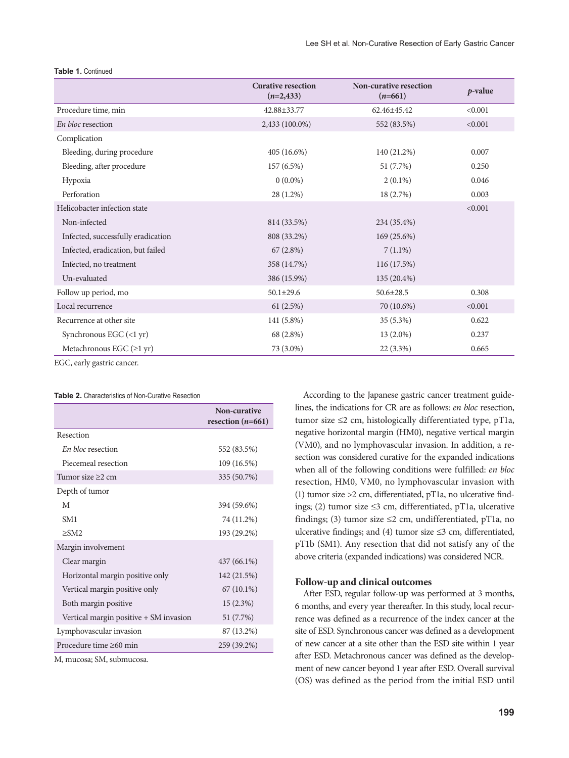|                                                  | <b>Curative resection</b><br>$(n=2,433)$ | Non-curative resection<br>$(n=661)$ | $p$ -value |
|--------------------------------------------------|------------------------------------------|-------------------------------------|------------|
| Procedure time, min                              | 42.88±33.77                              | 62.46±45.42                         | < 0.001    |
| En bloc resection                                | 2,433 (100.0%)                           | 552 (83.5%)                         | < 0.001    |
| Complication                                     |                                          |                                     |            |
| Bleeding, during procedure                       | $405(16.6\%)$                            | 140 (21.2%)                         | 0.007      |
| Bleeding, after procedure                        | 157(6.5%)                                | 51 (7.7%)                           | 0.250      |
| Hypoxia                                          | $0(0.0\%)$                               | $2(0.1\%)$                          | 0.046      |
| Perforation                                      | 28 (1.2%)                                | 18 (2.7%)                           | 0.003      |
| Helicobacter infection state                     |                                          |                                     | < 0.001    |
| Non-infected                                     | 814 (33.5%)                              | 234 (35.4%)                         |            |
| Infected, successfully eradication               | 808 (33.2%)                              | 169 (25.6%)                         |            |
| Infected, eradication, but failed                | 67(2.8%)                                 | $7(1.1\%)$                          |            |
| Infected, no treatment                           | 358 (14.7%)                              | 116 (17.5%)                         |            |
| Un-evaluated                                     | 386 (15.9%)                              | $135(20.4\%)$                       |            |
| Follow up period, mo                             | $50.1 \pm 29.6$                          | $50.6 \pm 28.5$                     | 0.308      |
| Local recurrence                                 | 61(2.5%)                                 | 70 (10.6%)                          | < 0.001    |
| Recurrence at other site                         | 141 (5.8%)                               | $35(5.3\%)$                         | 0.622      |
| Synchronous EGC $(\langle 1 \text{ yr} \rangle)$ | 68 (2.8%)                                | 13 (2.0%)                           | 0.237      |
| Metachronous EGC $(\geq 1 \text{ yr})$           | 73 (3.0%)                                | $22(3.3\%)$                         | 0.665      |

#### **Table 1.** Continued

EGC, early gastric cancer.

#### **Table 2.** Characteristics of Non-Curative Resection

|                                        | Non-curative<br>resection $(n=661)$ |
|----------------------------------------|-------------------------------------|
| Resection                              |                                     |
| <i>En bloc</i> resection               | 552 (83.5%)                         |
| Piecemeal resection                    | 109 (16.5%)                         |
| Tumor size $\geq$ cm                   | 335 (50.7%)                         |
| Depth of tumor                         |                                     |
| M                                      | 394 (59.6%)                         |
| SM <sub>1</sub>                        | 74 (11.2%)                          |
| $\geq$ SM2                             | 193 (29.2%)                         |
| Margin involvement                     |                                     |
| Clear margin                           | 437 (66.1%)                         |
| Horizontal margin positive only        | 142 (21.5%)                         |
| Vertical margin positive only          | $67(10.1\%)$                        |
| Both margin positive                   | 15(2.3%)                            |
| Vertical margin positive + SM invasion | 51 (7.7%)                           |
| Lymphovascular invasion                | 87 (13.2%)                          |
| Procedure time >60 min                 | 259 (39.2%)                         |
| M. mucosa: SM. submucosa.              |                                     |

According to the Japanese gastric cancer treatment guidelines, the indications for CR are as follows: *en bloc* resection, tumor size ≤2 cm, histologically differentiated type, pT1a, negative horizontal margin (HM0), negative vertical margin (VM0), and no lymphovascular invasion. In addition, a resection was considered curative for the expanded indications when all of the following conditions were fulfilled: *en bloc* resection, HM0, VM0, no lymphovascular invasion with (1) tumor size >2 cm, differentiated, pT1a, no ulcerative findings; (2) tumor size ≤3 cm, differentiated, pT1a, ulcerative findings; (3) tumor size  $\leq$ 2 cm, undifferentiated, pT1a, no ulcerative findings; and (4) tumor size ≤3 cm, differentiated, pT1b (SM1). Any resection that did not satisfy any of the above criteria (expanded indications) was considered NCR.

## **Follow-up and clinical outcomes**

After ESD, regular follow-up was performed at 3 months, 6 months, and every year thereafter. In this study, local recurrence was defined as a recurrence of the index cancer at the site of ESD. Synchronous cancer was defined as a development of new cancer at a site other than the ESD site within 1 year after ESD. Metachronous cancer was defined as the development of new cancer beyond 1 year after ESD. Overall survival (OS) was defined as the period from the initial ESD until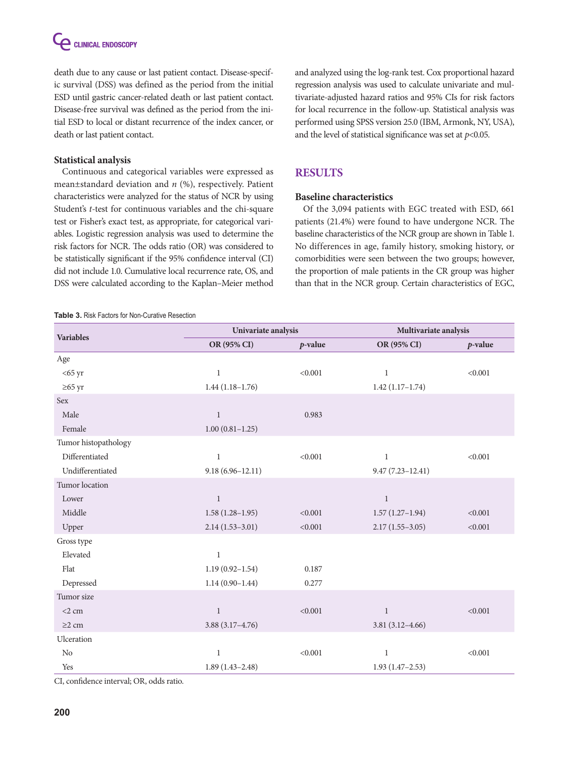C CLINICAL ENDOSCOPY

death due to any cause or last patient contact. Disease-specific survival (DSS) was defined as the period from the initial ESD until gastric cancer-related death or last patient contact. Disease-free survival was defined as the period from the initial ESD to local or distant recurrence of the index cancer, or death or last patient contact.

## **Statistical analysis**

Continuous and categorical variables were expressed as mean±standard deviation and *n* (%), respectively. Patient characteristics were analyzed for the status of NCR by using Student's *t-*test for continuous variables and the chi-square test or Fisher's exact test, as appropriate, for categorical variables. Logistic regression analysis was used to determine the risk factors for NCR. The odds ratio (OR) was considered to be statistically significant if the 95% confidence interval (CI) did not include 1.0. Cumulative local recurrence rate, OS, and DSS were calculated according to the Kaplan–Meier method

#### **Table 3.** Risk Factors for Non-Curative Resection

and analyzed using the log-rank test. Cox proportional hazard regression analysis was used to calculate univariate and multivariate-adjusted hazard ratios and 95% CIs for risk factors for local recurrence in the follow-up. Statistical analysis was performed using SPSS version 25.0 (IBM, Armonk, NY, USA), and the level of statistical significance was set at *p*<0.05.

## **Results**

#### **Baseline characteristics**

Of the 3,094 patients with EGC treated with ESD, 661 patients (21.4%) were found to have undergone NCR. The baseline characteristics of the NCR group are shown in Table 1. No differences in age, family history, smoking history, or comorbidities were seen between the two groups; however, the proportion of male patients in the CR group was higher than that in the NCR group. Certain characteristics of EGC,

| <b>Variables</b>     | Univariate analysis  |            | Multivariate analysis |            |
|----------------------|----------------------|------------|-----------------------|------------|
|                      | OR (95% CI)          | $p$ -value | OR (95% CI)           | $p$ -value |
| Age                  |                      |            |                       |            |
| $<$ 65 yr            | $\,1\,$              | < 0.001    | $\mathbf{1}$          | < 0.001    |
| $\geq 65$ yr         | $1.44(1.18-1.76)$    |            | $1.42(1.17-1.74)$     |            |
| Sex                  |                      |            |                       |            |
| Male                 | $\mathbf{1}$         | 0.983      |                       |            |
| Female               | $1.00(0.81 - 1.25)$  |            |                       |            |
| Tumor histopathology |                      |            |                       |            |
| Differentiated       | $1\,$                | < 0.001    | $\mathbf{1}$          | < 0.001    |
| Undifferentiated     | $9.18(6.96 - 12.11)$ |            | $9.47(7.23 - 12.41)$  |            |
| Tumor location       |                      |            |                       |            |
| Lower                | $\mathbf{1}$         |            | $\mathbf{1}$          |            |
| Middle               | $1.58(1.28-1.95)$    | < 0.001    | $1.57(1.27-1.94)$     | < 0.001    |
| Upper                | $2.14(1.53-3.01)$    | < 0.001    | $2.17(1.55-3.05)$     | < 0.001    |
| Gross type           |                      |            |                       |            |
| Elevated             | $\mathbf{1}$         |            |                       |            |
| Flat                 | $1.19(0.92 - 1.54)$  | 0.187      |                       |            |
| Depressed            | $1.14(0.90-1.44)$    | 0.277      |                       |            |
| Tumor size           |                      |            |                       |            |
| $<$ 2 cm             | 1                    | < 0.001    | $\mathbf{1}$          | < 0.001    |
| $\geq$ 2 cm          | $3.88(3.17-4.76)$    |            | $3.81(3.12 - 4.66)$   |            |
| Ulceration           |                      |            |                       |            |
| No                   | $\mathbf{1}$         | < 0.001    | $\mathbf{1}$          | < 0.001    |
| Yes                  | $1.89(1.43 - 2.48)$  |            | $1.93(1.47-2.53)$     |            |

CI, confidence interval; OR, odds ratio.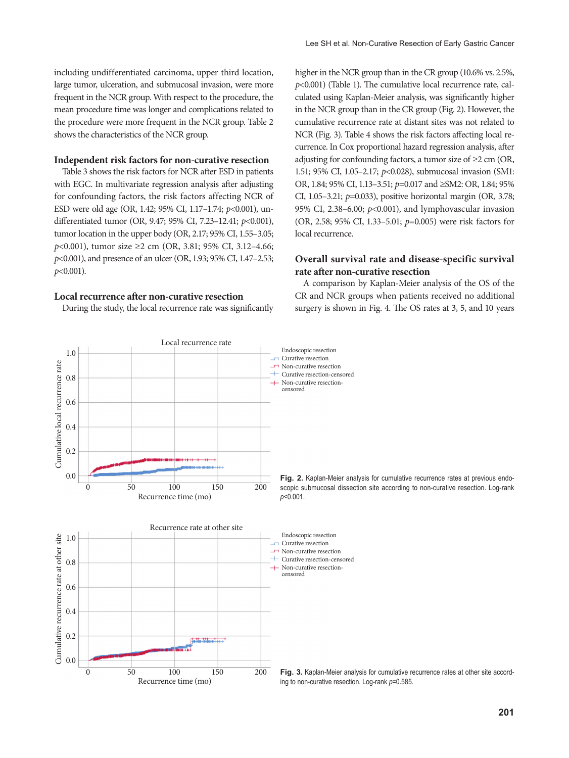including undifferentiated carcinoma, upper third location, large tumor, ulceration, and submucosal invasion, were more frequent in the NCR group. With respect to the procedure, the mean procedure time was longer and complications related to the procedure were more frequent in the NCR group. Table 2 shows the characteristics of the NCR group.

## **Independent risk factors for non-curative resection**

Table 3 shows the risk factors for NCR after ESD in patients with EGC. In multivariate regression analysis after adjusting for confounding factors, the risk factors affecting NCR of ESD were old age (OR, 1.42; 95% CI, 1.17–1.74; *p*<0.001), undifferentiated tumor (OR, 9.47; 95% CI, 7.23–12.41; *p*<0.001), tumor location in the upper body (OR, 2.17; 95% CI, 1.55–3.05; *p*<0.001), tumor size ≥2 cm (OR, 3.81; 95% CI, 3.12–4.66; *p*<0.001), and presence of an ulcer (OR, 1.93; 95% CI, 1.47–2.53; *p*<0.001).

## **Local recurrence after non-curative resection**

1.0

0.0

During the study, the local recurrence rate was significantly

higher in the NCR group than in the CR group (10.6% vs. 2.5%, *p*<0.001) (Table 1). The cumulative local recurrence rate, calculated using Kaplan-Meier analysis, was significantly higher in the NCR group than in the CR group (Fig. 2). However, the cumulative recurrence rate at distant sites was not related to NCR (Fig. 3). Table 4 shows the risk factors affecting local recurrence. In Cox proportional hazard regression analysis, after adjusting for confounding factors, a tumor size of  $\geq$  2 cm (OR, 1.51; 95% CI, 1.05–2.17; *p*<0.028), submucosal invasion (SM1: OR, 1.84; 95% CI, 1.13–3.51; *p*=0.017 and ≥SM2: OR, 1.84; 95% CI, 1.05–3.21; *p*=0.033), positive horizontal margin (OR, 3.78; 95% CI, 2.38–6.00; *p*<0.001), and lymphovascular invasion (OR, 2.58; 95% CI, 1.33–5.01; *p*=0.005) were risk factors for local recurrence.

## **Overall survival rate and disease-specific survival rate after non-curative resection**

A comparison by Kaplan-Meier analysis of the OS of the CR and NCR groups when patients received no additional surgery is shown in Fig. 4. The OS rates at 3, 5, and 10 years

Endoscopic resection



Recurrence time (mo) 0 50 100 150 200

Local recurrence rate

scopic submucosal dissection site according to non-curative resection. Log-rank

**Fig. 3.** Kaplan-Meier analysis for cumulative recurrence rates at other site according to non-curative resection. Log-rank *p*=0.585.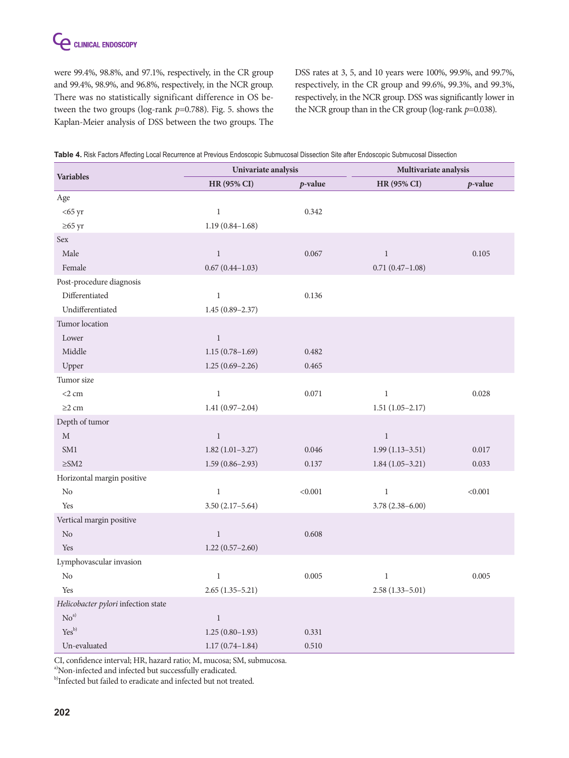were 99.4%, 98.8%, and 97.1%, respectively, in the CR group and 99.4%, 98.9%, and 96.8%, respectively, in the NCR group. There was no statistically significant difference in OS between the two groups (log-rank *p*=0.788). Fig. 5. shows the Kaplan-Meier analysis of DSS between the two groups. The

DSS rates at 3, 5, and 10 years were 100%, 99.9%, and 99.7%, respectively, in the CR group and 99.6%, 99.3%, and 99.3%, respectively, in the NCR group. DSS was significantly lower in the NCR group than in the CR group (log-rank *p*=0.038).

| <b>Variables</b>                    | Univariate analysis |            | Multivariate analysis |            |
|-------------------------------------|---------------------|------------|-----------------------|------------|
|                                     | HR (95% CI)         | $p$ -value | HR (95% CI)           | $p$ -value |
| Age                                 |                     |            |                       |            |
| $<$ 65 yr                           | $\mathbf{1}$        | 0.342      |                       |            |
| $\geq 65$ yr                        | $1.19(0.84 - 1.68)$ |            |                       |            |
| Sex                                 |                     |            |                       |            |
| Male                                | $\,1\,$             | 0.067      | $\,1\,$               | 0.105      |
| Female                              | $0.67(0.44 - 1.03)$ |            | $0.71(0.47 - 1.08)$   |            |
| Post-procedure diagnosis            |                     |            |                       |            |
| Differentiated                      | $\,1$               | 0.136      |                       |            |
| Undifferentiated                    | $1.45(0.89 - 2.37)$ |            |                       |            |
| Tumor location                      |                     |            |                       |            |
| Lower                               | $\,1$               |            |                       |            |
| Middle                              | $1.15(0.78 - 1.69)$ | 0.482      |                       |            |
| Upper                               | $1.25(0.69 - 2.26)$ | 0.465      |                       |            |
| Tumor size                          |                     |            |                       |            |
| $<$ 2 cm                            | $\,1$               | 0.071      | $\,1$                 | 0.028      |
| $\geq$ 2 cm                         | $1.41(0.97-2.04)$   |            | $1.51(1.05-2.17)$     |            |
| Depth of tumor                      |                     |            |                       |            |
| $\mathbf{M}$                        | $\mathbf{1}$        |            | $\,1$                 |            |
| SM1                                 | $1.82(1.01-3.27)$   | 0.046      | $1.99(1.13 - 3.51)$   | 0.017      |
| $\geq$ SM2                          | $1.59(0.86 - 2.93)$ | 0.137      | $1.84(1.05-3.21)$     | 0.033      |
| Horizontal margin positive          |                     |            |                       |            |
| $\rm No$                            | $\,1$               | < 0.001    | $\,1\,$               | < 0.001    |
| Yes                                 | $3.50(2.17-5.64)$   |            | $3.78(2.38 - 6.00)$   |            |
| Vertical margin positive            |                     |            |                       |            |
| $\rm No$                            | $\,1\,$             | 0.608      |                       |            |
| Yes                                 | $1.22(0.57 - 2.60)$ |            |                       |            |
| Lymphovascular invasion             |                     |            |                       |            |
| $\rm No$                            | $\,1\,$             | 0.005      | $\,1$                 | 0.005      |
| Yes                                 | $2.65(1.35-5.21)$   |            | $2.58(1.33 - 5.01)$   |            |
| Helicobacter pylori infection state |                     |            |                       |            |
| $\mbox{No}^{\mbox{\tiny\rm al}}$    | $\mathbf{1}$        |            |                       |            |
| Yes <sup>b)</sup>                   | $1.25(0.80-1.93)$   | 0.331      |                       |            |
| Un-evaluated                        | $1.17(0.74 - 1.84)$ | 0.510      |                       |            |

**Table 4.** Risk Factors Affecting Local Recurrence at Previous Endoscopic Submucosal Dissection Site after Endoscopic Submucosal Dissection

CI, confidence interval; HR, hazard ratio; M, mucosa; SM, submucosa.

a)Non-infected and infected but successfully eradicated.

 $^{\mathrm{b)}}$  Infected but failed to eradicate and infected but not treated.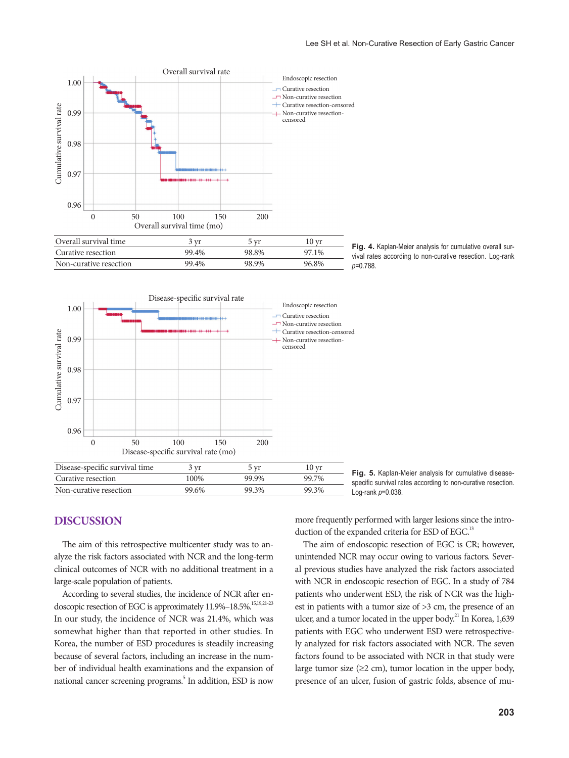







**Fig. 5.** Kaplan-Meier analysis for cumulative diseasespecific survival rates according to non-curative resection. Log-rank *p*=0.038.

# **Discussion**

The aim of this retrospective multicenter study was to analyze the risk factors associated with NCR and the long-term clinical outcomes of NCR with no additional treatment in a large-scale population of patients.

According to several studies, the incidence of NCR after endoscopic resection of EGC is approximately 11.9%-18.5%.<sup>15,19,21-23</sup> In our study, the incidence of NCR was 21.4%, which was somewhat higher than that reported in other studies. In Korea, the number of ESD procedures is steadily increasing because of several factors, including an increase in the number of individual health examinations and the expansion of national cancer screening programs.<sup>5</sup> In addition, ESD is now

more frequently performed with larger lesions since the introduction of the expanded criteria for ESD of EGC.<sup>13</sup>

The aim of endoscopic resection of EGC is CR; however, unintended NCR may occur owing to various factors. Several previous studies have analyzed the risk factors associated with NCR in endoscopic resection of EGC. In a study of 784 patients who underwent ESD, the risk of NCR was the highest in patients with a tumor size of >3 cm, the presence of an ulcer, and a tumor located in the upper body.<sup>21</sup> In Korea, 1,639 patients with EGC who underwent ESD were retrospectively analyzed for risk factors associated with NCR. The seven factors found to be associated with NCR in that study were large tumor size  $(\geq 2$  cm), tumor location in the upper body, presence of an ulcer, fusion of gastric folds, absence of mu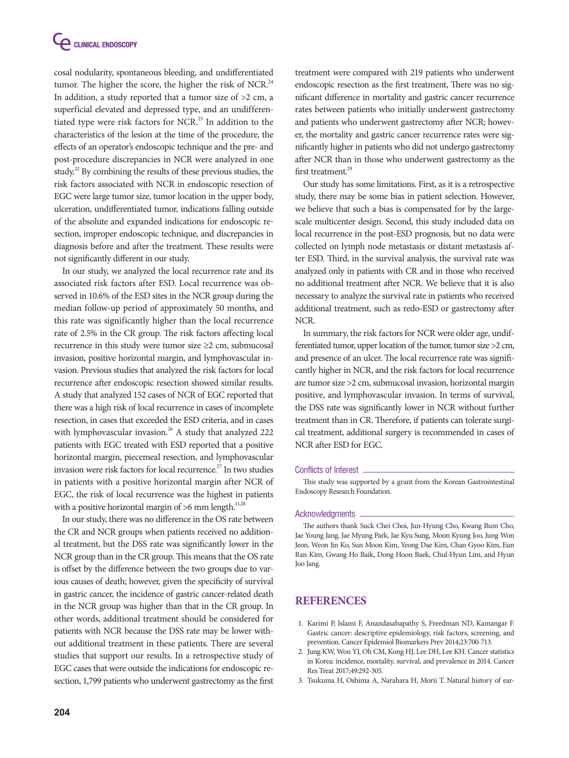cosal nodularity, spontaneous bleeding, and undifferentiated tumor. The higher the score, the higher the risk of NCR.<sup>24</sup> In addition, a study reported that a tumor size of >2 cm, a superficial elevated and depressed type, and an undifferentiated type were risk factors for NCR.<sup>25</sup> In addition to the characteristics of the lesion at the time of the procedure, the effects of an operator's endoscopic technique and the pre- and post-procedure discrepancies in NCR were analyzed in one study.<sup>22</sup> By combining the results of these previous studies, the risk factors associated with NCR in endoscopic resection of EGC were large tumor size, tumor location in the upper body, ulceration, undifferentiated tumor, indications falling outside of the absolute and expanded indications for endoscopic resection, improper endoscopic technique, and discrepancies in diagnosis before and after the treatment. These results were not significantly different in our study.

In our study, we analyzed the local recurrence rate and its associated risk factors after ESD. Local recurrence was observed in 10.6% of the ESD sites in the NCR group during the median follow-up period of approximately 50 months, and this rate was significantly higher than the local recurrence rate of 2.5% in the CR group. The risk factors affecting local recurrence in this study were tumor size  $\geq 2$  cm, submucosal invasion, positive horizontal margin, and lymphovascular invasion. Previous studies that analyzed the risk factors for local recurrence after endoscopic resection showed similar results. A study that analyzed 152 cases of NCR of EGC reported that there was a high risk of local recurrence in cases of incomplete resection, in cases that exceeded the ESD criteria, and in cases with lymphovascular invasion.<sup>26</sup> A study that analyzed 222 patients with EGC treated with ESD reported that a positive horizontal margin, piecemeal resection, and lymphovascular invasion were risk factors for local recurrence.<sup>27</sup> In two studies in patients with a positive horizontal margin after NCR of EGC, the risk of local recurrence was the highest in patients with a positive horizontal margin of  $>6$  mm length.<sup>11,28</sup>

In our study, there was no difference in the OS rate between the CR and NCR groups when patients received no additional treatment, but the DSS rate was significantly lower in the NCR group than in the CR group. This means that the OS rate is offset by the difference between the two groups due to various causes of death; however, given the specificity of survival in gastric cancer, the incidence of gastric cancer-related death in the NCR group was higher than that in the CR group. In other words, additional treatment should be considered for patients with NCR because the DSS rate may be lower without additional treatment in these patients. There are several studies that support our results. In a retrospective study of EGC cases that were outside the indications for endoscopic resection, 1,799 patients who underwent gastrectomy as the first

treatment were compared with 219 patients who underwent endoscopic resection as the first treatment, There was no significant difference in mortality and gastric cancer recurrence rates between patients who initially underwent gastrectomy and patients who underwent gastrectomy after NCR; however, the mortality and gastric cancer recurrence rates were significantly higher in patients who did not undergo gastrectomy after NCR than in those who underwent gastrectomy as the first treatment.<sup>29</sup>

Our study has some limitations. First, as it is a retrospective study, there may be some bias in patient selection. However, we believe that such a bias is compensated for by the largescale multicenter design. Second, this study included data on local recurrence in the post-ESD prognosis, but no data were collected on lymph node metastasis or distant metastasis after ESD. Third, in the survival analysis, the survival rate was analyzed only in patients with CR and in those who received no additional treatment after NCR. We believe that it is also necessary to analyze the survival rate in patients who received additional treatment, such as redo-ESD or gastrectomy after NCR.

In summary, the risk factors for NCR were older age, undifferentiated tumor, upper location of the tumor, tumor size >2 cm, and presence of an ulcer. The local recurrence rate was significantly higher in NCR, and the risk factors for local recurrence are tumor size >2 cm, submucosal invasion, horizontal margin positive, and lymphovascular invasion. In terms of survival, the DSS rate was significantly lower in NCR without further treatment than in CR. Therefore, if patients can tolerate surgical treatment, additional surgery is recommended in cases of NCR after ESD for EGC.

#### Conflicts of Interest

This study was supported by a grant from the Korean Gastrointestinal Endoscopy Research Foundation.

#### **Acknowledgments**

The authors thank Suck Chei Choi, Jun-Hyung Cho, Kwang Bum Cho, Jae Young Jang, Jae Myung Park, Jae Kyu Sung, Moon Kyung Joo, Jung Won Jeon, Weon Jin Ko, Sun Moon Kim, Yeong Dae Kim, Chan Gyoo Kim, Eun Ran Kim, Gwang Ho Baik, Dong Hoon Baek, Chul-Hyun Lim, and Hyun Joo Jang.

## **References**

- 1. Karimi P, Islami F, Anandasabapathy S, Freedman ND, Kamangar F. Gastric cancer: descriptive epidemiology, risk factors, screening, and prevention. Cancer Epidemiol Biomarkers Prev 2014;23:700-713.
- 2. Jung KW, Won YJ, Oh CM, Kong HJ, Lee DH, Lee KH. Cancer statistics in Korea: incidence, mortality, survival, and prevalence in 2014. Cancer Res Treat 2017;49:292-305.
- 3. Tsukuma H, Oshima A, Narahara H, Morii T. Natural history of ear-